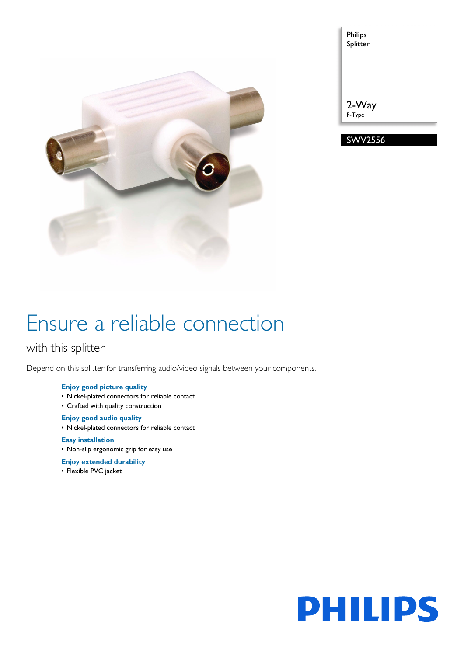

| Philips<br>Splitter |
|---------------------|
| 2-Way<br>F-Type     |
| WV2556              |

# Ensure a reliable connection

## with this splitter

Depend on this splitter for transferring audio/video signals between your components.

### **Enjoy good picture quality**

- Nickel-plated connectors for reliable contact
- Crafted with quality construction

#### **Enjoy good audio quality**

• Nickel-plated connectors for reliable contact

#### **Easy installation**

- Non-slip ergonomic grip for easy use
- **Enjoy extended durability**
- Flexible PVC jacket